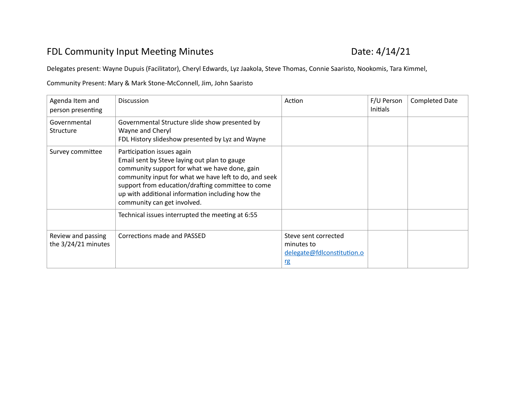## FDL Community Input Meeting Minutes **EXACTE 120 10 13 13 14 14 14/21**

Delegates present: Wayne Dupuis (Facilitator), Cheryl Edwards, Lyz Jaakola, Steve Thomas, Connie Saaristo, Nookomis, Tara Kimmel,

Community Present: Mary & Mark Stone-McConnell, Jim, John Saaristo

| Agenda Item and<br>person presenting      | <b>Discussion</b>                                                                                                                                                                                                                                                                                                            | Action                                                                 | F/U Person<br><b>Initials</b> | <b>Completed Date</b> |
|-------------------------------------------|------------------------------------------------------------------------------------------------------------------------------------------------------------------------------------------------------------------------------------------------------------------------------------------------------------------------------|------------------------------------------------------------------------|-------------------------------|-----------------------|
| Governmental<br>Structure                 | Governmental Structure slide show presented by<br>Wayne and Cheryl<br>FDL History slideshow presented by Lyz and Wayne                                                                                                                                                                                                       |                                                                        |                               |                       |
| Survey committee                          | Participation issues again<br>Email sent by Steve laying out plan to gauge<br>community support for what we have done, gain<br>community input for what we have left to do, and seek<br>support from education/drafting committee to come<br>up with additional information including how the<br>community can get involved. |                                                                        |                               |                       |
|                                           | Technical issues interrupted the meeting at 6:55                                                                                                                                                                                                                                                                             |                                                                        |                               |                       |
| Review and passing<br>the 3/24/21 minutes | Corrections made and PASSED                                                                                                                                                                                                                                                                                                  | Steve sent corrected<br>minutes to<br>delegate@fdlconstitution.o<br>rg |                               |                       |